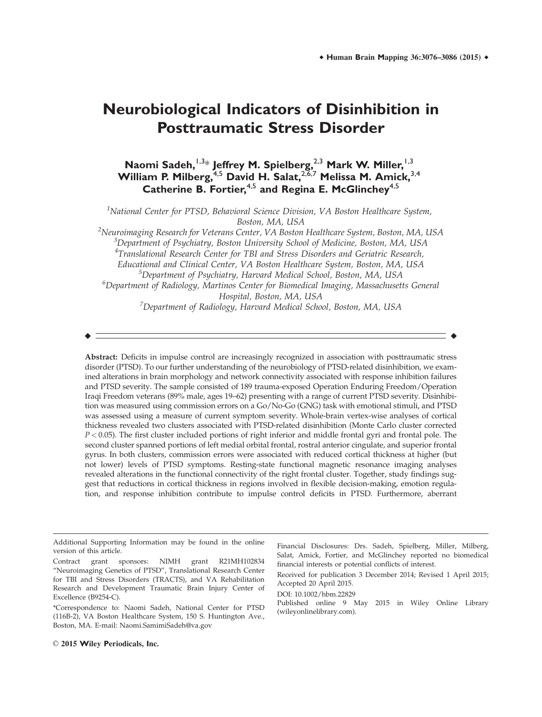# **Neurobiological Indicators of Disinhibition in Posttraumatic Stress Disorder**

**Naomi Sadeh,**1,3\* **Jeffrey M. Spielberg,**2,3 **Mark W. Miller,**1,3 **William P. Milberg,**4,5 **David H. Salat,**2,6,7 **Melissa M. Amick,**3,4 **Catherine B. Fortier, <sup>4,5</sup> and Regina E. McGlinchey**<sup>4,5</sup>

<sup>1</sup>National Center for PTSD, Behavioral Science Division, VA Boston Healthcare System, Boston, MA, USA

 $^{2}$ Neuroimaging Research for Veterans Center, VA Boston Healthcare System, Boston, MA, USA  $^3$ Department of Psychiatry, Boston University School of Medicine, Boston, MA, USA <sup>4</sup>Translational Research Center for TBI and Stress Disorders and Geriatric Research, Educational and Clinical Center, VA Boston Healthcare System, Boston, MA, USA 5 Department of Psychiatry, Harvard Medical School, Boston, MA, USA 6 Department of Radiology, Martinos Center for Biomedical Imaging, Massachusetts General Hospital, Boston, MA, USA <sup>7</sup>Department of Radiology, Harvard Medical School, Boston, MA, USA

r r

Abstract: Deficits in impulse control are increasingly recognized in association with posttraumatic stress disorder (PTSD). To our further understanding of the neurobiology of PTSD-related disinhibition, we examined alterations in brain morphology and network connectivity associated with response inhibition failures and PTSD severity. The sample consisted of 189 trauma-exposed Operation Enduring Freedom/Operation Iraqi Freedom veterans (89% male, ages 19–62) presenting with a range of current PTSD severity. Disinhibition was measured using commission errors on a Go/No-Go (GNG) task with emotional stimuli, and PTSD was assessed using a measure of current symptom severity. Whole-brain vertex-wise analyses of cortical thickness revealed two clusters associated with PTSD-related disinhibition (Monte Carlo cluster corrected  $P < 0.05$ ). The first cluster included portions of right inferior and middle frontal gyri and frontal pole. The second cluster spanned portions of left medial orbital frontal, rostral anterior cingulate, and superior frontal gyrus. In both clusters, commission errors were associated with reduced cortical thickness at higher (but not lower) levels of PTSD symptoms. Resting-state functional magnetic resonance imaging analyses revealed alterations in the functional connectivity of the right frontal cluster. Together, study findings suggest that reductions in cortical thickness in regions involved in flexible decision-making, emotion regulation, and response inhibition contribute to impulse control deficits in PTSD. Furthermore, aberrant

Additional Supporting Information may be found in the online version of this article.

Financial Disclosures: Drs. Sadeh, Spielberg, Miller, Milberg, Salat, Amick, Fortier, and McGlinchey reported no biomedical financial interests or potential conflicts of interest.

Received for publication 3 December 2014; Revised 1 April 2015; Accepted 20 April 2015.

DOI: 10.1002/hbm.22829

Published online 9 May 2015 in Wiley Online Library (wileyonlinelibrary.com).

 $\odot$  2015 Wiley Periodicals, Inc.

Contract grant sponsors: NIMH grant R21MH102834 "Neuroimaging Genetics of PTSD", Translational Research Center for TBI and Stress Disorders (TRACTS), and VA Rehabilitation Research and Development Traumatic Brain Injury Center of Excellence (B9254-C).

<sup>\*</sup>Correspondence to: Naomi Sadeh, National Center for PTSD (116B-2), VA Boston Healthcare System, 150 S. Huntington Ave., Boston, MA. E-mail: Naomi.SamimiSadeh@va.gov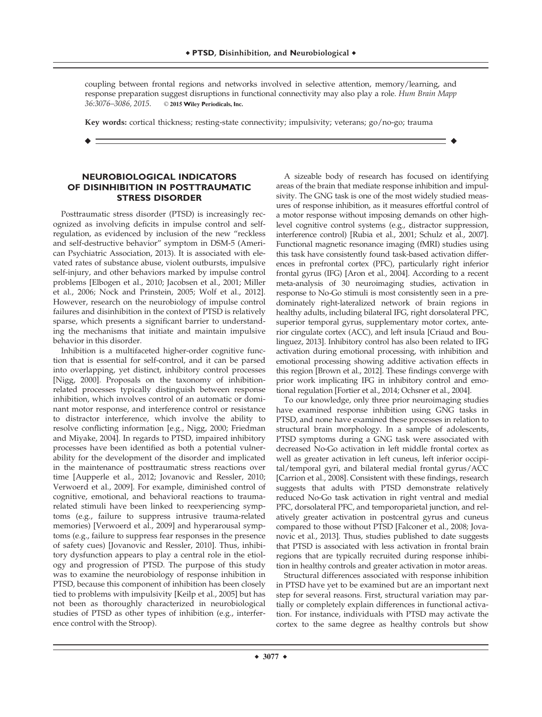coupling between frontal regions and networks involved in selective attention, memory/learning, and response preparation suggest disruptions in functional connectivity may also play a role. Hum Brain Mapp 36:3076-3086, 2015. © 2015 Wiley Periodicals, Inc.

r r

Key words: cortical thickness; resting-state connectivity; impulsivity; veterans; go/no-go; trauma

# **NEUROBIOLOGICAL INDICATORS OF DISINHIBITION IN POSTTRAUMATIC STRESS DISORDER**

Posttraumatic stress disorder (PTSD) is increasingly recognized as involving deficits in impulse control and selfregulation, as evidenced by inclusion of the new "reckless and self-destructive behavior" symptom in DSM-5 (American Psychiatric Association, 2013). It is associated with elevated rates of substance abuse, violent outbursts, impulsive self-injury, and other behaviors marked by impulse control problems [Elbogen et al., 2010; Jacobsen et al., 2001; Miller et al., 2006; Nock and Prinstein, 2005; Wolf et al., 2012]. However, research on the neurobiology of impulse control failures and disinhibition in the context of PTSD is relatively sparse, which presents a significant barrier to understanding the mechanisms that initiate and maintain impulsive behavior in this disorder.

Inhibition is a multifaceted higher-order cognitive function that is essential for self-control, and it can be parsed into overlapping, yet distinct, inhibitory control processes [Nigg, 2000]. Proposals on the taxonomy of inhibitionrelated processes typically distinguish between response inhibition, which involves control of an automatic or dominant motor response, and interference control or resistance to distractor interference, which involve the ability to resolve conflicting information [e.g., Nigg, 2000; Friedman and Miyake, 2004]. In regards to PTSD, impaired inhibitory processes have been identified as both a potential vulnerability for the development of the disorder and implicated in the maintenance of posttraumatic stress reactions over time [Aupperle et al., 2012; Jovanovic and Ressler, 2010; Verwoerd et al., 2009]. For example, diminished control of cognitive, emotional, and behavioral reactions to traumarelated stimuli have been linked to reexperiencing symptoms (e.g., failure to suppress intrusive trauma-related memories) [Verwoerd et al., 2009] and hyperarousal symptoms (e.g., failure to suppress fear responses in the presence of safety cues) [Jovanovic and Ressler, 2010]. Thus, inhibitory dysfunction appears to play a central role in the etiology and progression of PTSD. The purpose of this study was to examine the neurobiology of response inhibition in PTSD, because this component of inhibition has been closely tied to problems with impulsivity [Keilp et al., 2005] but has not been as thoroughly characterized in neurobiological studies of PTSD as other types of inhibition (e.g., interference control with the Stroop).

A sizeable body of research has focused on identifying areas of the brain that mediate response inhibition and impulsivity. The GNG task is one of the most widely studied measures of response inhibition, as it measures effortful control of a motor response without imposing demands on other highlevel cognitive control systems (e.g., distractor suppression, interference control) [Rubia et al., 2001; Schulz et al., 2007]. Functional magnetic resonance imaging (fMRI) studies using this task have consistently found task-based activation differences in prefrontal cortex (PFC), particularly right inferior frontal gyrus (IFG) [Aron et al., 2004]. According to a recent meta-analysis of 30 neuroimaging studies, activation in response to No-Go stimuli is most consistently seen in a predominately right-lateralized network of brain regions in healthy adults, including bilateral IFG, right dorsolateral PFC, superior temporal gyrus, supplementary motor cortex, anterior cingulate cortex (ACC), and left insula [Criaud and Boulinguez, 2013]. Inhibitory control has also been related to IFG activation during emotional processing, with inhibition and emotional processing showing additive activation effects in this region [Brown et al., 2012]. These findings converge with prior work implicating IFG in inhibitory control and emotional regulation [Fortier et al., 2014; Ochsner et al., 2004].

To our knowledge, only three prior neuroimaging studies have examined response inhibition using GNG tasks in PTSD, and none have examined these processes in relation to structural brain morphology. In a sample of adolescents, PTSD symptoms during a GNG task were associated with decreased No-Go activation in left middle frontal cortex as well as greater activation in left cuneus, left inferior occipital/temporal gyri, and bilateral medial frontal gyrus/ACC [Carrion et al., 2008]. Consistent with these findings, research suggests that adults with PTSD demonstrate relatively reduced No-Go task activation in right ventral and medial PFC, dorsolateral PFC, and temporoparietal junction, and relatively greater activation in postcentral gyrus and cuneus compared to those without PTSD [Falconer et al., 2008; Jovanovic et al., 2013]. Thus, studies published to date suggests that PTSD is associated with less activation in frontal brain regions that are typically recruited during response inhibition in healthy controls and greater activation in motor areas.

Structural differences associated with response inhibition in PTSD have yet to be examined but are an important next step for several reasons. First, structural variation may partially or completely explain differences in functional activation. For instance, individuals with PTSD may activate the cortex to the same degree as healthy controls but show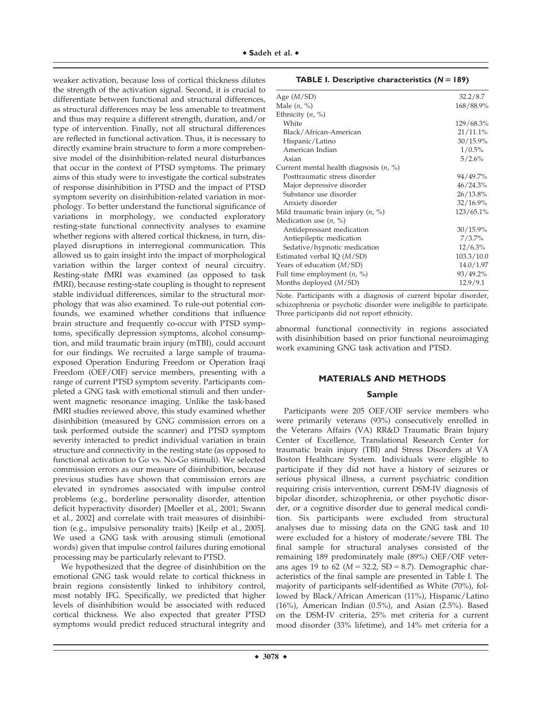weaker activation, because loss of cortical thickness dilutes the strength of the activation signal. Second, it is crucial to differentiate between functional and structural differences, as structural differences may be less amenable to treatment and thus may require a different strength, duration, and/or type of intervention. Finally, not all structural differences are reflected in functional activation. Thus, it is necessary to directly examine brain structure to form a more comprehensive model of the disinhibition-related neural disturbances that occur in the context of PTSD symptoms. The primary aims of this study were to investigate the cortical substrates of response disinhibition in PTSD and the impact of PTSD symptom severity on disinhibition-related variation in morphology. To better understand the functional significance of variations in morphology, we conducted exploratory resting-state functional connectivity analyses to examine whether regions with altered cortical thickness, in turn, displayed disruptions in interregional communication. This allowed us to gain insight into the impact of morphological variation within the larger context of neural circuitry. Resting-state fMRI was examined (as opposed to task fMRI), because resting-state coupling is thought to represent stable individual differences, similar to the structural morphology that was also examined. To rule-out potential confounds, we examined whether conditions that influence brain structure and frequently co-occur with PTSD symptoms, specifically depression symptoms, alcohol consumption, and mild traumatic brain injury (mTBI), could account for our findings. We recruited a large sample of traumaexposed Operation Enduring Freedom or Operation Iraqi Freedom (OEF/OIF) service members, presenting with a range of current PTSD symptom severity. Participants completed a GNG task with emotional stimuli and then underwent magnetic resonance imaging. Unlike the task-based fMRI studies reviewed above, this study examined whether disinhibition (measured by GNG commission errors on a task performed outside the scanner) and PTSD symptom severity interacted to predict individual variation in brain structure and connectivity in the resting state (as opposed to functional activation to Go vs. No-Go stimuli). We selected commission errors as our measure of disinhibition, because previous studies have shown that commission errors are elevated in syndromes associated with impulse control problems (e.g., borderline personality disorder, attention deficit hyperactivity disorder) [Moeller et al., 2001; Swann et al., 2002] and correlate with trait measures of disinhibition (e.g., impulsive personality traits) [Keilp et al., 2005]. We used a GNG task with arousing stimuli (emotional words) given that impulse control failures during emotional processing may be particularly relevant to PTSD.

We hypothesized that the degree of disinhibition on the emotional GNG task would relate to cortical thickness in brain regions consistently linked to inhibitory control, most notably IFG. Specifically, we predicted that higher levels of disinhibition would be associated with reduced cortical thickness. We also expected that greater PTSD symptoms would predict reduced structural integrity and

| <b>TABLE I. Descriptive characteristics (<math>N = 189</math>)</b> |  |  |  |
|--------------------------------------------------------------------|--|--|--|
|--------------------------------------------------------------------|--|--|--|

| Age $(M/SD)$                              | 32.2/8.7   |
|-------------------------------------------|------------|
| Male $(n, %)$                             | 168/88.9%  |
| Ethnicity $(n, \%)$                       |            |
| White                                     | 129/68.3%  |
| Black/African-American                    | 21/11.1%   |
| Hispanic/Latino                           | 30/15.9%   |
| American Indian                           | 1/0.5%     |
| Asian                                     | 5/2.6%     |
| Current mental health diagnosis $(n, \%)$ |            |
| Posttraumatic stress disorder             | 94/49.7%   |
| Major depressive disorder                 | 46/24.3%   |
| Substance use disorder                    | 26/13.8%   |
| Anxiety disorder                          | 32/16.9%   |
| Mild traumatic brain injury $(n, \%)$     | 123/65.1%  |
| Medication use $(n, %)$                   |            |
| Antidepressant medication                 | 30/15.9%   |
| Antiepileptic medication                  | $7/3.7\%$  |
| Sedative/hypnotic medication              | $12/6.3\%$ |
| Estimated verbal IQ ( <i>M</i> /SD)       | 103.3/10.0 |
| Years of education $(M/SD)$               | 14.0/1.97  |
| Full time employment $(n, %)$             | 93/49.2%   |
| Months deployed $(M/SD)$                  | 12.9/9.1   |

Note. Participants with a diagnosis of current bipolar disorder, schizophrenia or psychotic disorder were ineligible to participate. Three participants did not report ethnicity.

abnormal functional connectivity in regions associated with disinhibition based on prior functional neuroimaging work examining GNG task activation and PTSD.

## **MATERIALS AND METHODS**

# **Sample**

Participants were 205 OEF/OIF service members who were primarily veterans (93%) consecutively enrolled in the Veterans Affairs (VA) RR&D Traumatic Brain Injury Center of Excellence, Translational Research Center for traumatic brain injury (TBI) and Stress Disorders at VA Boston Healthcare System. Individuals were eligible to participate if they did not have a history of seizures or serious physical illness, a current psychiatric condition requiring crisis intervention, current DSM-IV diagnosis of bipolar disorder, schizophrenia, or other psychotic disorder, or a cognitive disorder due to general medical condition. Six participants were excluded from structural analyses due to missing data on the GNG task and 10 were excluded for a history of moderate/severe TBI. The final sample for structural analyses consisted of the remaining 189 predominately male (89%) OEF/OIF veterans ages 19 to 62 ( $M = 32.2$ , SD = 8.7). Demographic characteristics of the final sample are presented in Table I. The majority of participants self-identified as White (70%), followed by Black/African American (11%), Hispanic/Latino (16%), American Indian (0.5%), and Asian (2.5%). Based on the DSM-IV criteria, 25% met criteria for a current mood disorder (33% lifetime), and 14% met criteria for a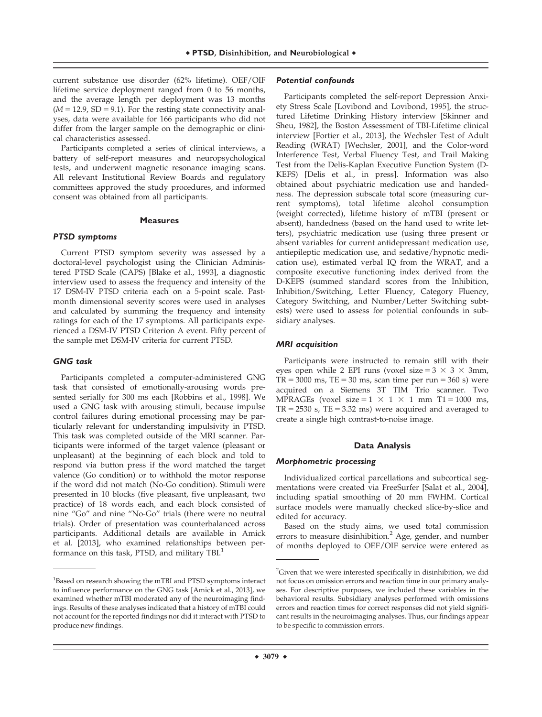current substance use disorder (62% lifetime). OEF/OIF lifetime service deployment ranged from 0 to 56 months, and the average length per deployment was 13 months  $(M = 12.9, SD = 9.1)$ . For the resting state connectivity analyses, data were available for 166 participants who did not differ from the larger sample on the demographic or clinical characteristics assessed.

Participants completed a series of clinical interviews, a battery of self-report measures and neuropsychological tests, and underwent magnetic resonance imaging scans. All relevant Institutional Review Boards and regulatory committees approved the study procedures, and informed consent was obtained from all participants.

### **Measures**

# PTSD symptoms

Current PTSD symptom severity was assessed by a doctoral-level psychologist using the Clinician Administered PTSD Scale (CAPS) [Blake et al., 1993], a diagnostic interview used to assess the frequency and intensity of the 17 DSM-IV PTSD criteria each on a 5-point scale. Pastmonth dimensional severity scores were used in analyses and calculated by summing the frequency and intensity ratings for each of the 17 symptoms. All participants experienced a DSM-IV PTSD Criterion A event. Fifty percent of the sample met DSM-IV criteria for current PTSD.

# GNG task

Participants completed a computer-administered GNG task that consisted of emotionally-arousing words presented serially for 300 ms each [Robbins et al., 1998]. We used a GNG task with arousing stimuli, because impulse control failures during emotional processing may be particularly relevant for understanding impulsivity in PTSD. This task was completed outside of the MRI scanner. Participants were informed of the target valence (pleasant or unpleasant) at the beginning of each block and told to respond via button press if the word matched the target valence (Go condition) or to withhold the motor response if the word did not match (No-Go condition). Stimuli were presented in 10 blocks (five pleasant, five unpleasant, two practice) of 18 words each, and each block consisted of nine "Go" and nine "No-Go" trials (there were no neutral trials). Order of presentation was counterbalanced across participants. Additional details are available in Amick et al. [2013], who examined relationships between performance on this task, PTSD, and military TBI.<sup>1</sup>

### Potential confounds

Participants completed the self-report Depression Anxiety Stress Scale [Lovibond and Lovibond, 1995], the structured Lifetime Drinking History interview [Skinner and Sheu, 1982], the Boston Assessment of TBI-Lifetime clinical interview [Fortier et al., 2013], the Wechsler Test of Adult Reading (WRAT) [Wechsler, 2001], and the Color-word Interference Test, Verbal Fluency Test, and Trail Making Test from the Delis-Kaplan Executive Function System (D-KEFS) [Delis et al., in press]. Information was also obtained about psychiatric medication use and handedness. The depression subscale total score (measuring current symptoms), total lifetime alcohol consumption (weight corrected), lifetime history of mTBI (present or absent), handedness (based on the hand used to write letters), psychiatric medication use (using three present or absent variables for current antidepressant medication use, antiepileptic medication use, and sedative/hypnotic medication use), estimated verbal IQ from the WRAT, and a composite executive functioning index derived from the D-KEFS (summed standard scores from the Inhibition, Inhibition/Switching, Letter Fluency, Category Fluency, Category Switching, and Number/Letter Switching subtests) were used to assess for potential confounds in subsidiary analyses.

## MRI acquisition

Participants were instructed to remain still with their eyes open while 2 EPI runs (voxel size =  $3 \times 3 \times 3$  mm,  $TR = 3000$  ms,  $TE = 30$  ms, scan time per run = 360 s) were acquired on a Siemens 3T TIM Trio scanner. Two MPRAGEs (voxel size =  $1 \times 1 \times 1$  mm T1 = 1000 ms,  $TR = 2530$  s,  $TE = 3.32$  ms) were acquired and averaged to create a single high contrast-to-noise image.

# **Data Analysis**

## Morphometric processing

Individualized cortical parcellations and subcortical segmentations were created via FreeSurfer [Salat et al., 2004], including spatial smoothing of 20 mm FWHM. Cortical surface models were manually checked slice-by-slice and edited for accuracy.

Based on the study aims, we used total commission errors to measure disinhibition.<sup>2</sup> Age, gender, and number of months deployed to OEF/OIF service were entered as

<sup>&</sup>lt;sup>1</sup>Based on research showing the mTBI and PTSD symptoms interact to influence performance on the GNG task [Amick et al., 2013], we examined whether mTBI moderated any of the neuroimaging findings. Results of these analyses indicated that a history of mTBI could not account for the reported findings nor did it interact with PTSD to produce new findings.

<sup>&</sup>lt;sup>2</sup>Given that we were interested specifically in disinhibition, we did not focus on omission errors and reaction time in our primary analyses. For descriptive purposes, we included these variables in the behavioral results. Subsidiary analyses performed with omissions errors and reaction times for correct responses did not yield significant results in the neuroimaging analyses. Thus, our findings appear to be specific to commission errors.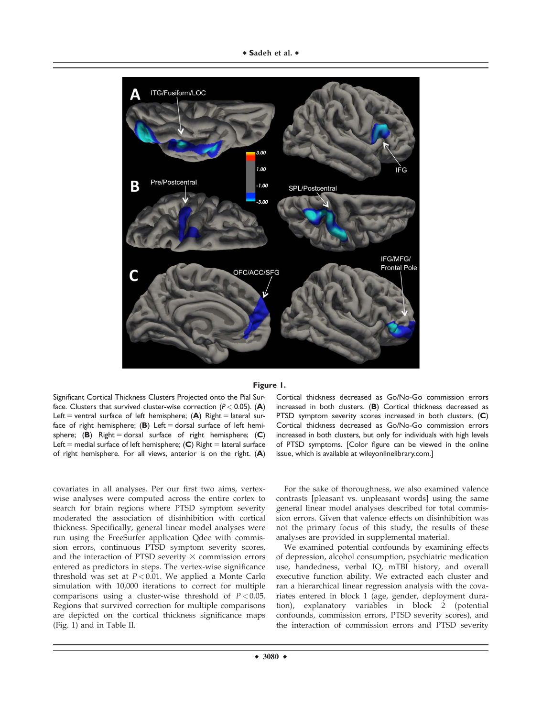

#### **Figure 1.**

Significant Cortical Thickness Clusters Projected onto the Pial Surface. Clusters that survived cluster-wise correction (*P* < 0.05). (**A**) Left = ventral surface of left hemisphere;  $(A)$  Right = lateral surface of right hemisphere;  $(B)$  Left = dorsal surface of left hemisphere;  $(B)$  Right = dorsal surface of right hemisphere;  $(C)$ Left  $=$  medial surface of left hemisphere; (C) Right  $=$  lateral surface of right hemisphere. For all views, anterior is on the right. (**A**)

covariates in all analyses. Per our first two aims, vertexwise analyses were computed across the entire cortex to search for brain regions where PTSD symptom severity moderated the association of disinhibition with cortical thickness. Specifically, general linear model analyses were run using the FreeSurfer application Qdec with commission errors, continuous PTSD symptom severity scores, and the interaction of PTSD severity  $\times$  commission errors entered as predictors in steps. The vertex-wise significance threshold was set at  $P < 0.01$ . We applied a Monte Carlo simulation with 10,000 iterations to correct for multiple comparisons using a cluster-wise threshold of  $P < 0.05$ . Regions that survived correction for multiple comparisons are depicted on the cortical thickness significance maps (Fig. 1) and in Table II.

Cortical thickness decreased as Go/No-Go commission errors increased in both clusters. (**B**) Cortical thickness decreased as PTSD symptom severity scores increased in both clusters. (**C**) Cortical thickness decreased as Go/No-Go commission errors increased in both clusters, but only for individuals with high levels of PTSD symptoms. [Color figure can be viewed in the online issue, which is available at [wileyonlinelibrary.com](http://wileyonlinelibrary.com).]

For the sake of thoroughness, we also examined valence contrasts [pleasant vs. unpleasant words] using the same general linear model analyses described for total commission errors. Given that valence effects on disinhibition was not the primary focus of this study, the results of these analyses are provided in supplemental material.

We examined potential confounds by examining effects of depression, alcohol consumption, psychiatric medication use, handedness, verbal IQ, mTBI history, and overall executive function ability. We extracted each cluster and ran a hierarchical linear regression analysis with the covariates entered in block 1 (age, gender, deployment duration), explanatory variables in block 2 (potential confounds, commission errors, PTSD severity scores), and the interaction of commission errors and PTSD severity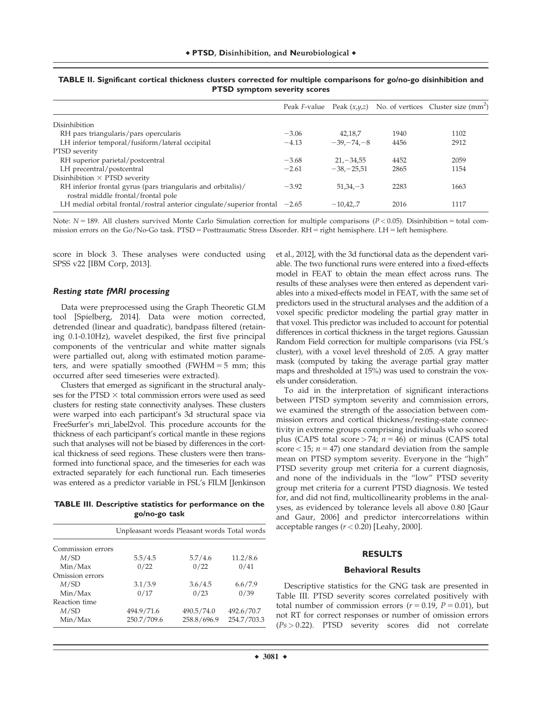|                                                                                                     |         |                |      | Peak F-value Peak $(x,y,z)$ No. of vertices Cluster size (mm <sup>2</sup> ) |
|-----------------------------------------------------------------------------------------------------|---------|----------------|------|-----------------------------------------------------------------------------|
| Disinhibition                                                                                       |         |                |      |                                                                             |
| RH pars triangularis/pars opercularis                                                               | $-3.06$ | 42.18.7        | 1940 | 1102                                                                        |
| LH inferior temporal/fusiform/lateral occipital                                                     | $-4.13$ | $-39, -74, -8$ | 4456 | 2912                                                                        |
| PTSD severity                                                                                       |         |                |      |                                                                             |
| RH superior parietal/postcentral                                                                    | $-3.68$ | $21, -34, 55$  | 4452 | 2059                                                                        |
| LH precentral/postcentral                                                                           | $-2.61$ | $-38 - 25.51$  | 2865 | 1154                                                                        |
| Disinhibition $\times$ PTSD severity                                                                |         |                |      |                                                                             |
| RH inferior frontal gyrus (pars triangularis and orbitalis)/<br>rostral middle frontal/frontal pole | $-3.92$ | $51,34,-3$     | 2283 | 1663                                                                        |
| LH medial orbital frontal/rostral anterior cingulate/superior frontal $-2.65$                       |         | $-10,42,7$     | 2016 | 1117                                                                        |

**TABLE II. Significant cortical thickness clusters corrected for multiple comparisons for go/no-go disinhibition and PTSD symptom severity scores**

Note:  $N = 189$ . All clusters survived Monte Carlo Simulation correction for multiple comparisons ( $P < 0.05$ ). Disinhibition = total commission errors on the Go/No-Go task. PTSD = Posttraumatic Stress Disorder. RH = right hemisphere. LH = left hemisphere.

score in block 3. These analyses were conducted using SPSS v22 [IBM Corp, 2013].

# Resting state fMRI processing

Data were preprocessed using the Graph Theoretic GLM tool [Spielberg, 2014]. Data were motion corrected, detrended (linear and quadratic), bandpass filtered (retaining 0.1-0.10Hz), wavelet despiked, the first five principal components of the ventricular and white matter signals were partialled out, along with estimated motion parameters, and were spatially smoothed (FWHM  $=$  5 mm; this occurred after seed timeseries were extracted).

Clusters that emerged as significant in the structural analyses for the PTSD  $\times$  total commission errors were used as seed clusters for resting state connectivity analyses. These clusters were warped into each participant's 3d structural space via FreeSurfer's mri\_label2vol. This procedure accounts for the thickness of each participant's cortical mantle in these regions such that analyses will not be biased by differences in the cortical thickness of seed regions. These clusters were then transformed into functional space, and the timeseries for each was extracted separately for each functional run. Each timeseries was entered as a predictor variable in FSL's FILM [Jenkinson

**TABLE III. Descriptive statistics for performance on the go/no-go task**

|                   | Unpleasant words Pleasant words Total words |             |             |
|-------------------|---------------------------------------------|-------------|-------------|
| Commission errors |                                             |             |             |
| M/SD              | 5.5/4.5                                     | 5.7/4.6     | 11.2/8.6    |
| Min/Max           | 0/22                                        | 0/22        | 0/41        |
| Omission errors   |                                             |             |             |
| M/SD              | 3.1/3.9                                     | 3.6/4.5     | 6.6/7.9     |
| Min/Max           | 0/17                                        | 0/23        | 0/39        |
| Reaction time     |                                             |             |             |
| M/SD              | 494.9/71.6                                  | 490.5/74.0  | 492.6/70.7  |
| Min/Max           | 250.7/709.6                                 | 258.8/696.9 | 254.7/703.3 |

et al., 2012], with the 3d functional data as the dependent variable. The two functional runs were entered into a fixed-effects model in FEAT to obtain the mean effect across runs. The results of these analyses were then entered as dependent variables into a mixed-effects model in FEAT, with the same set of predictors used in the structural analyses and the addition of a voxel specific predictor modeling the partial gray matter in that voxel. This predictor was included to account for potential differences in cortical thickness in the target regions. Gaussian Random Field correction for multiple comparisons (via FSL's cluster), with a voxel level threshold of 2.05. A gray matter mask (computed by taking the average partial gray matter maps and thresholded at 15%) was used to constrain the voxels under consideration.

To aid in the interpretation of significant interactions between PTSD symptom severity and commission errors, we examined the strength of the association between commission errors and cortical thickness/resting-state connectivity in extreme groups comprising individuals who scored plus (CAPS total score  $> 74$ ;  $n = 46$ ) or minus (CAPS total score  $<$  15;  $n = 47$ ) one standard deviation from the sample mean on PTSD symptom severity. Everyone in the "high" PTSD severity group met criteria for a current diagnosis, and none of the individuals in the "low" PTSD severity group met criteria for a current PTSD diagnosis. We tested for, and did not find, multicollinearity problems in the analyses, as evidenced by tolerance levels all above 0.80 [Gaur and Gaur, 2006] and predictor intercorrelations within acceptable ranges  $(r < 0.20)$  [Leahy, 2000].

# **RESULTS**

#### **Behavioral Results**

Descriptive statistics for the GNG task are presented in Table III. PTSD severity scores correlated positively with total number of commission errors ( $r = 0.19$ ,  $P = 0.01$ ), but not RT for correct responses or number of omission errors  $(Ps > 0.22)$ . PTSD severity scores did not correlate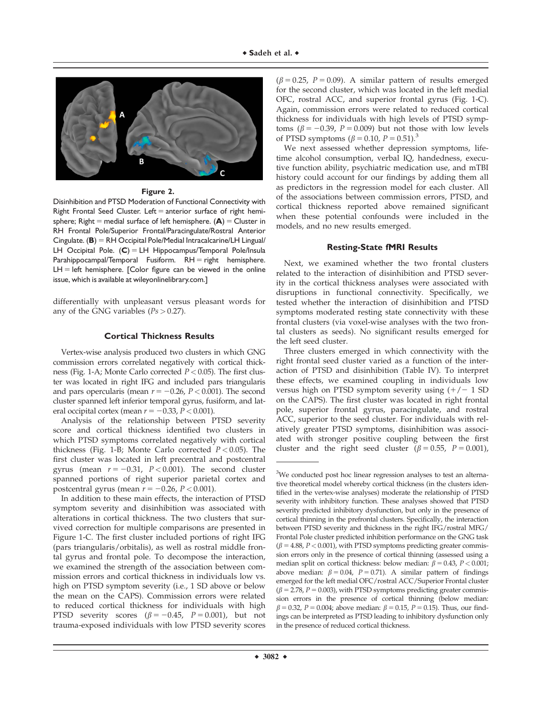

#### **Figure 2.**

Disinhibition and PTSD Moderation of Functional Connectivity with Right Frontal Seed Cluster. Left  $=$  anterior surface of right hemisphere; Right = medial surface of left hemisphere.  $(A)$  = Cluster in RH Frontal Pole/Superior Frontal/Paracingulate/Rostral Anterior Cingulate. (**B**) = RH Occipital Pole/Medial Intracalcarine/LH Lingual/ LH Occipital Pole. (C) = LH Hippocampus/Temporal Pole/Insula Parahippocampal/Temporal Fusiform.  $RH =$  right hemisphere.  $LH =$  left hemisphere. [Color figure can be viewed in the online issue, which is available at [wileyonlinelibrary.com.](http://wileyonlinelibrary.com)]

differentially with unpleasant versus pleasant words for any of the GNG variables ( $Ps > 0.27$ ).

#### **Cortical Thickness Results**

Vertex-wise analysis produced two clusters in which GNG commission errors correlated negatively with cortical thickness (Fig. 1-A; Monte Carlo corrected  $P < 0.05$ ). The first cluster was located in right IFG and included pars triangularis and pars opercularis (mean  $r = -0.26$ ,  $P < 0.001$ ). The second cluster spanned left inferior temporal gyrus, fusiform, and lateral occipital cortex (mean  $r = -0.33$ ,  $P < 0.001$ ).

Analysis of the relationship between PTSD severity score and cortical thickness identified two clusters in which PTSD symptoms correlated negatively with cortical thickness (Fig. 1-B; Monte Carlo corrected  $P < 0.05$ ). The first cluster was located in left precentral and postcentral gyrus (mean  $r = -0.31$ ,  $P < 0.001$ ). The second cluster spanned portions of right superior parietal cortex and postcentral gyrus (mean  $r = -0.26$ ,  $P < 0.001$ ).

In addition to these main effects, the interaction of PTSD symptom severity and disinhibition was associated with alterations in cortical thickness. The two clusters that survived correction for multiple comparisons are presented in Figure 1-C. The first cluster included portions of right IFG (pars triangularis/orbitalis), as well as rostral middle frontal gyrus and frontal pole. To decompose the interaction, we examined the strength of the association between commission errors and cortical thickness in individuals low vs. high on PTSD symptom severity (i.e., 1 SD above or below the mean on the CAPS). Commission errors were related to reduced cortical thickness for individuals with high PTSD severity scores  $(\beta = -0.45, P = 0.001)$ , but not trauma-exposed individuals with low PTSD severity scores

( $\beta$  = 0.25, P = 0.09). A similar pattern of results emerged for the second cluster, which was located in the left medial OFC, rostral ACC, and superior frontal gyrus (Fig. 1-C). Again, commission errors were related to reduced cortical thickness for individuals with high levels of PTSD symptoms ( $\beta$  = -0.39, P = 0.009) but not those with low levels of PTSD symptoms ( $\beta = 0.10$ ,  $P = 0.51$ ).<sup>3</sup>

We next assessed whether depression symptoms, lifetime alcohol consumption, verbal IQ, handedness, executive function ability, psychiatric medication use, and mTBI history could account for our findings by adding them all as predictors in the regression model for each cluster. All of the associations between commission errors, PTSD, and cortical thickness reported above remained significant when these potential confounds were included in the models, and no new results emerged.

## **Resting-State fMRI Results**

Next, we examined whether the two frontal clusters related to the interaction of disinhibition and PTSD severity in the cortical thickness analyses were associated with disruptions in functional connectivity. Specifically, we tested whether the interaction of disinhibition and PTSD symptoms moderated resting state connectivity with these frontal clusters (via voxel-wise analyses with the two frontal clusters as seeds). No significant results emerged for the left seed cluster.

Three clusters emerged in which connectivity with the right frontal seed cluster varied as a function of the interaction of PTSD and disinhibition (Table IV). To interpret these effects, we examined coupling in individuals low versus high on PTSD symptom severity using  $(+/- 1$  SD on the CAPS). The first cluster was located in right frontal pole, superior frontal gyrus, paracingulate, and rostral ACC, superior to the seed cluster. For individuals with relatively greater PTSD symptoms, disinhibition was associated with stronger positive coupling between the first cluster and the right seed cluster ( $\beta = 0.55$ ,  $P = 0.001$ ),

 $3$ We conducted post hoc linear regression analyses to test an alternative theoretical model whereby cortical thickness (in the clusters identified in the vertex-wise analyses) moderate the relationship of PTSD severity with inhibitory function. These analyses showed that PTSD severity predicted inhibitory dysfunction, but only in the presence of cortical thinning in the prefrontal clusters. Specifically, the interaction between PTSD severity and thickness in the right IFG/rostral MFG/ Frontal Pole cluster predicted inhibition performance on the GNG task ( $\beta$  = 4.88, P < 0.001), with PTSD symptoms predicting greater commission errors only in the presence of cortical thinning (assessed using a median split on cortical thickness: below median:  $\beta = 0.43$ ,  $P < 0.001$ ; above median:  $\beta = 0.04$ ,  $P = 0.71$ ). A similar pattern of findings emerged for the left medial OFC/rostral ACC/Superior Frontal cluster  $(\beta = 2.78, P = 0.003)$ , with PTSD symptoms predicting greater commission errors in the presence of cortical thinning (below median:  $\beta = 0.32$ ,  $P = 0.004$ ; above median:  $\beta = 0.15$ ,  $P = 0.15$ ). Thus, our findings can be interpreted as PTSD leading to inhibitory dysfunction only in the presence of reduced cortical thickness.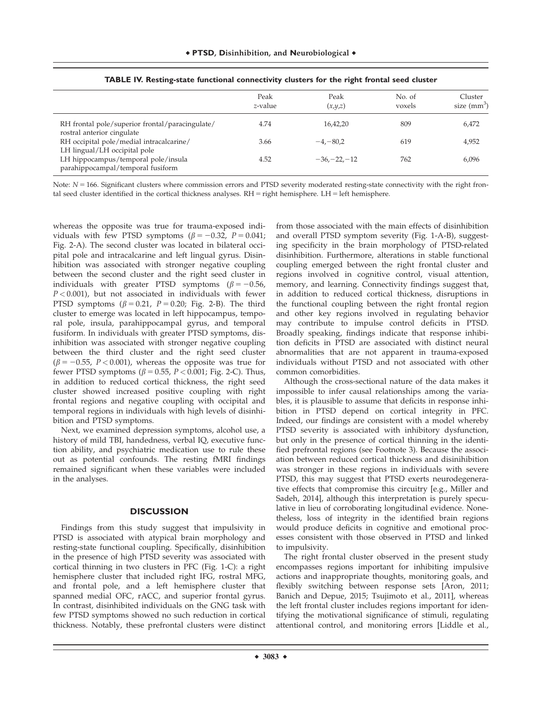|                                                                               | Peak<br>z-value | Peak<br>(x,y,z) | No. of<br>voxels | Cluster<br>size $(mm3)$ |
|-------------------------------------------------------------------------------|-----------------|-----------------|------------------|-------------------------|
| RH frontal pole/superior frontal/paracingulate/<br>rostral anterior cingulate | 4.74            | 16.42.20        | 809              | 6,472                   |
| RH occipital pole/medial intracalcarine/<br>LH lingual/LH occipital pole      | 3.66            | $-4, -80,2$     | 619              | 4,952                   |
| LH hippocampus/temporal pole/insula<br>parahippocampal/temporal fusiform      | 4.52            | $-36, -22, -12$ | 762              | 6,096                   |

**TABLE IV. Resting-state functional connectivity clusters for the right frontal seed cluster**

Note:  $N = 166$ . Significant clusters where commission errors and PTSD severity moderated resting-state connectivity with the right frontal seed cluster identified in the cortical thickness analyses.  $RH =$  right hemisphere. LH = left hemisphere.

whereas the opposite was true for trauma-exposed individuals with few PTSD symptoms  $(\beta = -0.32, P = 0.041;$ Fig. 2-A). The second cluster was located in bilateral occipital pole and intracalcarine and left lingual gyrus. Disinhibition was associated with stronger negative coupling between the second cluster and the right seed cluster in individuals with greater PTSD symptoms ( $\beta = -0.56$ ,  $P < 0.001$ ), but not associated in individuals with fewer PTSD symptoms ( $\beta = 0.21$ ,  $P = 0.20$ ; Fig. 2-B). The third cluster to emerge was located in left hippocampus, temporal pole, insula, parahippocampal gyrus, and temporal fusiform. In individuals with greater PTSD symptoms, disinhibition was associated with stronger negative coupling between the third cluster and the right seed cluster ( $\beta$  = -0.55, P < 0.001), whereas the opposite was true for fewer PTSD symptoms ( $\beta$  = 0.55, P < 0.001; Fig. 2-C). Thus, in addition to reduced cortical thickness, the right seed cluster showed increased positive coupling with right frontal regions and negative coupling with occipital and temporal regions in individuals with high levels of disinhibition and PTSD symptoms.

Next, we examined depression symptoms, alcohol use, a history of mild TBI, handedness, verbal IQ, executive function ability, and psychiatric medication use to rule these out as potential confounds. The resting fMRI findings remained significant when these variables were included in the analyses.

## **DISCUSSION**

Findings from this study suggest that impulsivity in PTSD is associated with atypical brain morphology and resting-state functional coupling. Specifically, disinhibition in the presence of high PTSD severity was associated with cortical thinning in two clusters in PFC (Fig. 1-C): a right hemisphere cluster that included right IFG, rostral MFG, and frontal pole, and a left hemisphere cluster that spanned medial OFC, rACC, and superior frontal gyrus. In contrast, disinhibited individuals on the GNG task with few PTSD symptoms showed no such reduction in cortical thickness. Notably, these prefrontal clusters were distinct

from those associated with the main effects of disinhibition and overall PTSD symptom severity (Fig. 1-A-B), suggesting specificity in the brain morphology of PTSD-related disinhibition. Furthermore, alterations in stable functional coupling emerged between the right frontal cluster and regions involved in cognitive control, visual attention, memory, and learning. Connectivity findings suggest that, in addition to reduced cortical thickness, disruptions in the functional coupling between the right frontal region and other key regions involved in regulating behavior may contribute to impulse control deficits in PTSD. Broadly speaking, findings indicate that response inhibition deficits in PTSD are associated with distinct neural abnormalities that are not apparent in trauma-exposed individuals without PTSD and not associated with other common comorbidities.

Although the cross-sectional nature of the data makes it impossible to infer causal relationships among the variables, it is plausible to assume that deficits in response inhibition in PTSD depend on cortical integrity in PFC. Indeed, our findings are consistent with a model whereby PTSD severity is associated with inhibitory dysfunction, but only in the presence of cortical thinning in the identified prefrontal regions (see Footnote 3). Because the association between reduced cortical thickness and disinihibition was stronger in these regions in individuals with severe PTSD, this may suggest that PTSD exerts neurodegenerative effects that compromise this circuitry [e.g., Miller and Sadeh, 2014], although this interpretation is purely speculative in lieu of corroborating longitudinal evidence. Nonetheless, loss of integrity in the identified brain regions would produce deficits in cognitive and emotional processes consistent with those observed in PTSD and linked to impulsivity.

The right frontal cluster observed in the present study encompasses regions important for inhibiting impulsive actions and inappropriate thoughts, monitoring goals, and flexibly switching between response sets [Aron, 2011; Banich and Depue, 2015; Tsujimoto et al., 2011], whereas the left frontal cluster includes regions important for identifying the motivational significance of stimuli, regulating attentional control, and monitoring errors [Liddle et al.,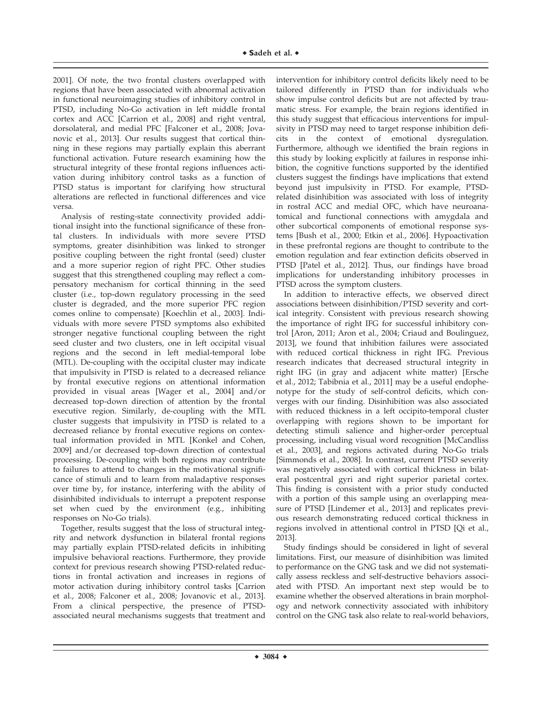2001]. Of note, the two frontal clusters overlapped with regions that have been associated with abnormal activation in functional neuroimaging studies of inhibitory control in PTSD, including No-Go activation in left middle frontal cortex and ACC [Carrion et al., 2008] and right ventral, dorsolateral, and medial PFC [Falconer et al., 2008; Jovanovic et al., 2013]. Our results suggest that cortical thinning in these regions may partially explain this aberrant functional activation. Future research examining how the structural integrity of these frontal regions influences activation during inhibitory control tasks as a function of PTSD status is important for clarifying how structural alterations are reflected in functional differences and vice versa.

Analysis of resting-state connectivity provided additional insight into the functional significance of these frontal clusters. In individuals with more severe PTSD symptoms, greater disinhibition was linked to stronger positive coupling between the right frontal (seed) cluster and a more superior region of right PFC. Other studies suggest that this strengthened coupling may reflect a compensatory mechanism for cortical thinning in the seed cluster (i.e., top-down regulatory processing in the seed cluster is degraded, and the more superior PFC region comes online to compensate) [Koechlin et al., 2003]. Individuals with more severe PTSD symptoms also exhibited stronger negative functional coupling between the right seed cluster and two clusters, one in left occipital visual regions and the second in left medial-temporal lobe (MTL). De-coupling with the occipital cluster may indicate that impulsivity in PTSD is related to a decreased reliance by frontal executive regions on attentional information provided in visual areas [Wager et al., 2004] and/or decreased top-down direction of attention by the frontal executive region. Similarly, de-coupling with the MTL cluster suggests that impulsivity in PTSD is related to a decreased reliance by frontal executive regions on contextual information provided in MTL [Konkel and Cohen, 2009] and/or decreased top-down direction of contextual processing. De-coupling with both regions may contribute to failures to attend to changes in the motivational significance of stimuli and to learn from maladaptive responses over time by, for instance, interfering with the ability of disinhibited individuals to interrupt a prepotent response set when cued by the environment (e.g., inhibiting responses on No-Go trials).

Together, results suggest that the loss of structural integrity and network dysfunction in bilateral frontal regions may partially explain PTSD-related deficits in inhibiting impulsive behavioral reactions. Furthermore, they provide context for previous research showing PTSD-related reductions in frontal activation and increases in regions of motor activation during inhibitory control tasks [Carrion et al., 2008; Falconer et al., 2008; Jovanovic et al., 2013]. From a clinical perspective, the presence of PTSDassociated neural mechanisms suggests that treatment and

intervention for inhibitory control deficits likely need to be tailored differently in PTSD than for individuals who show impulse control deficits but are not affected by traumatic stress. For example, the brain regions identified in this study suggest that efficacious interventions for impulsivity in PTSD may need to target response inhibition deficits in the context of emotional dysregulation. Furthermore, although we identified the brain regions in this study by looking explicitly at failures in response inhibition, the cognitive functions supported by the identified clusters suggest the findings have implications that extend beyond just impulsivity in PTSD. For example, PTSDrelated disinhibition was associated with loss of integrity in rostral ACC and medial OFC, which have neuroanatomical and functional connections with amygdala and other subcortical components of emotional response systems [Bush et al., 2000; Etkin et al., 2006]. Hypoactivation in these prefrontal regions are thought to contribute to the emotion regulation and fear extinction deficits observed in PTSD [Patel et al., 2012]. Thus, our findings have broad implications for understanding inhibitory processes in PTSD across the symptom clusters.

In addition to interactive effects, we observed direct associations between disinhibition/PTSD severity and cortical integrity. Consistent with previous research showing the importance of right IFG for successful inhibitory control [Aron, 2011; Aron et al., 2004; Criaud and Boulinguez, 2013], we found that inhibition failures were associated with reduced cortical thickness in right IFG. Previous research indicates that decreased structural integrity in right IFG (in gray and adjacent white matter) [Ersche et al., 2012; Tabibnia et al., 2011] may be a useful endophenotype for the study of self-control deficits, which converges with our finding. Disinhibition was also associated with reduced thickness in a left occipito-temporal cluster overlapping with regions shown to be important for detecting stimuli salience and higher-order perceptual processing, including visual word recognition [McCandliss et al., 2003], and regions activated during No-Go trials [Simmonds et al., 2008]. In contrast, current PTSD severity was negatively associated with cortical thickness in bilateral postcentral gyri and right superior parietal cortex. This finding is consistent with a prior study conducted with a portion of this sample using an overlapping measure of PTSD [Lindemer et al., 2013] and replicates previous research demonstrating reduced cortical thickness in regions involved in attentional control in PTSD [Qi et al., 2013].

Study findings should be considered in light of several limitations. First, our measure of disinhibition was limited to performance on the GNG task and we did not systematically assess reckless and self-destructive behaviors associated with PTSD. An important next step would be to examine whether the observed alterations in brain morphology and network connectivity associated with inhibitory control on the GNG task also relate to real-world behaviors,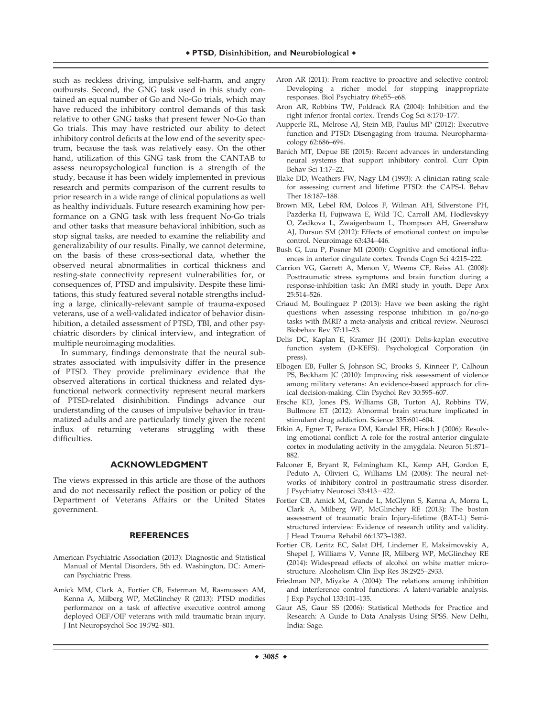such as reckless driving, impulsive self-harm, and angry outbursts. Second, the GNG task used in this study contained an equal number of Go and No-Go trials, which may have reduced the inhibitory control demands of this task relative to other GNG tasks that present fewer No-Go than Go trials. This may have restricted our ability to detect inhibitory control deficits at the low end of the severity spectrum, because the task was relatively easy. On the other hand, utilization of this GNG task from the CANTAB to assess neuropsychological function is a strength of the study, because it has been widely implemented in previous research and permits comparison of the current results to prior research in a wide range of clinical populations as well as healthy individuals. Future research examining how performance on a GNG task with less frequent No-Go trials and other tasks that measure behavioral inhibition, such as stop signal tasks, are needed to examine the reliability and generalizability of our results. Finally, we cannot determine, on the basis of these cross-sectional data, whether the observed neural abnormalities in cortical thickness and resting-state connectivity represent vulnerabilities for, or consequences of, PTSD and impulsivity. Despite these limitations, this study featured several notable strengths including a large, clinically-relevant sample of trauma-exposed veterans, use of a well-validated indicator of behavior disinhibition, a detailed assessment of PTSD, TBI, and other psychiatric disorders by clinical interview, and integration of multiple neuroimaging modalities.

In summary, findings demonstrate that the neural substrates associated with impulsivity differ in the presence of PTSD. They provide preliminary evidence that the observed alterations in cortical thickness and related dysfunctional network connectivity represent neural markers of PTSD-related disinhibition. Findings advance our understanding of the causes of impulsive behavior in traumatized adults and are particularly timely given the recent influx of returning veterans struggling with these difficulties.

# **ACKNOWLEDGMENT**

The views expressed in this article are those of the authors and do not necessarily reflect the position or policy of the Department of Veterans Affairs or the United States government.

## **REFERENCES**

- American Psychiatric Association (2013): Diagnostic and Statistical Manual of Mental Disorders, 5th ed. Washington, DC: American Psychiatric Press.
- Amick MM, Clark A, Fortier CB, Esterman M, Rasmusson AM, Kenna A, Milberg WP, McGlinchey R (2013): PTSD modifies performance on a task of affective executive control among deployed OEF/OIF veterans with mild traumatic brain injury. J Int Neuropsychol Soc 19:792–801.
- Aron AR (2011): From reactive to proactive and selective control: Developing a richer model for stopping inappropriate responses. Biol Psychiatry 69:e55–e68.
- Aron AR, Robbins TW, Poldrack RA (2004): Inhibition and the right inferior frontal cortex. Trends Cog Sci 8:170–177.
- Aupperle RL, Melrose AJ, Stein MB, Paulus MP (2012): Executive function and PTSD: Disengaging from trauma. Neuropharmacology 62:686–694.
- Banich MT, Depue BE (2015): Recent advances in understanding neural systems that support inhibitory control. Curr Opin Behav Sci 1:17–22.
- Blake DD, Weathers FW, Nagy LM (1993): A clinician rating scale for assessing current and lifetime PTSD: the CAPS-I. Behav Ther 18:187–188.
- Brown MR, Lebel RM, Dolcos F, Wilman AH, Silverstone PH, Pazderka H, Fujiwawa E, Wild TC, Carroll AM, Hodlevskyy O, Zedkova L, Zwaigenbaum L, Thompson AH, Greenshaw AJ, Dursun SM (2012): Effects of emotional context on impulse control. Neuroimage 63:434–446.
- Bush G, Luu P, Posner MI (2000): Cognitive and emotional influences in anterior cingulate cortex. Trends Cogn Sci 4:215–222.
- Carrion VG, Garrett A, Menon V, Weems CF, Reiss AL (2008): Posttraumatic stress symptoms and brain function during a response-inhibition task: An fMRI study in youth. Depr Anx 25:514–526.
- Criaud M, Boulinguez P (2013): Have we been asking the right questions when assessing response inhibition in go/no-go tasks with fMRI? a meta-analysis and critical review. Neurosci Biobehav Rev 37:11–23.
- Delis DC, Kaplan E, Kramer JH (2001): Delis-kaplan executive function system (D-KEFS). Psychological Corporation (in press).
- Elbogen EB, Fuller S, Johnson SC, Brooks S, Kinneer P, Calhoun PS, Beckham JC (2010): Improving risk assessment of violence among military veterans: An evidence-based approach for clinical decision-making. Clin Psychol Rev 30:595–607.
- Ersche KD, Jones PS, Williams GB, Turton AJ, Robbins TW, Bullmore ET (2012): Abnormal brain structure implicated in stimulant drug addiction. Science 335:601–604.
- Etkin A, Egner T, Peraza DM, Kandel ER, Hirsch J (2006): Resolving emotional conflict: A role for the rostral anterior cingulate cortex in modulating activity in the amygdala. Neuron 51:871– 882.
- Falconer E, Bryant R, Felmingham KL, Kemp AH, Gordon E, Peduto A, Olivieri G, Williams LM (2008): The neural networks of inhibitory control in posttraumatic stress disorder. J Psychiatry Neurosci 33:413-422.
- Fortier CB, Amick M, Grande L, McGlynn S, Kenna A, Morra L, Clark A, Milberg WP, McGlinchey RE (2013): The boston assessment of traumatic brain Injury-lifetime (BAT-L) Semistructured interview: Evidence of research utility and validity. J Head Trauma Rehabil 66:1373–1382.
- Fortier CB, Leritz EC, Salat DH, Lindemer E, Maksimovskiy A, Shepel J, Williams V, Venne JR, Milberg WP, McGlinchey RE (2014): Widespread effects of alcohol on white matter microstructure. Alcoholism Clin Exp Res 38:2925–2933.
- Friedman NP, Miyake A (2004): The relations among inhibition and interference control functions: A latent-variable analysis. J Exp Psychol 133:101–135.
- Gaur AS, Gaur SS (2006): Statistical Methods for Practice and Research: A Guide to Data Analysis Using SPSS. New Delhi, India: Sage.